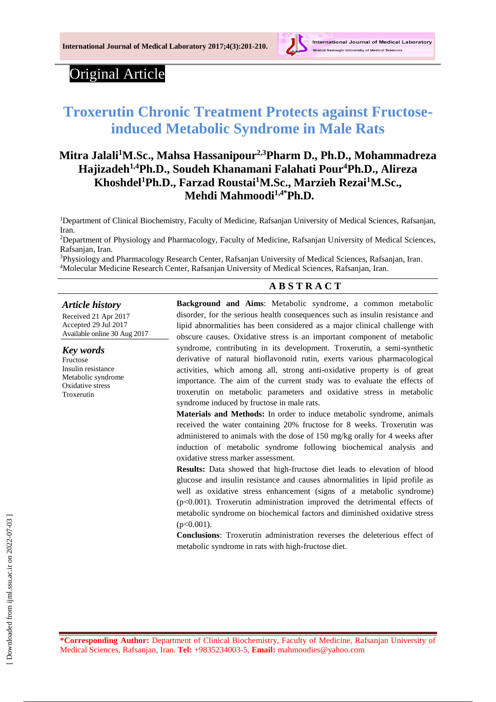

## Original Article

# **Troxerutin Chronic Treatment Protects against Fructoseinduced Metabolic Syndrome in Male Rats**

## **Mitra Jalali<sup>1</sup>M.Sc., Mahsa Hassanipour2,3Pharm D., Ph.D., Mohammadreza Hajizadeh1,4Ph.D., Soudeh Khanamani Falahati Pour<sup>4</sup>Ph.D., Alireza Khoshdel<sup>1</sup>Ph.D., Farzad Roustai<sup>1</sup>M.Sc., Marzieh Rezai<sup>1</sup>M.Sc., Mehdi Mahmoodi1,4\*Ph.D.**

<sup>1</sup>Department of Clinical Biochemistry, Faculty of Medicine, Rafsanjan University of Medical Sciences, Rafsanjan, Iran.

<sup>2</sup>Department of Physiology and Pharmacology, Faculty of Medicine, Rafsanjan University of Medical Sciences, Rafsanjan, Iran.

<sup>3</sup>Physiology and Pharmacology Research Center, Rafsanjan University of Medical Sciences, Rafsanjan, Iran. <sup>4</sup>Molecular Medicine Research Center, Rafsanjan University of Medical Sciences, Rafsanjan, Iran.

#### *Article history*

Received 21 Apr 2017 Accepted 29 Jul 2017 Available online 30 Aug 2017

#### *Key words*

Fructose Insulin resistance Metabolic syndrome Oxidative stress Troxerutin

# **A B S T R A C T**

**Background and Aims**: Metabolic syndrome, a common metabolic disorder, for the serious health consequences such as insulin resistance and lipid abnormalities has been considered as a major clinical challenge with obscure causes. Oxidative stress is an important component of metabolic syndrome, contributing in its development. Troxerutin, a semi-synthetic derivative of natural bioflavonoid rutin, exerts various pharmacological activities, which among all, strong anti-oxidative property is of great importance. The aim of the current study was to evaluate the effects of troxerutin on metabolic parameters and oxidative stress in metabolic syndrome induced by fructose in male rats.

**Materials and Methods:** In order to induce metabolic syndrome, animals received the water containing 20% fructose for 8 weeks. Troxerutin was administered to animals with the dose of 150 mg/kg orally for 4 weeks after induction of metabolic syndrome following biochemical analysis and oxidative stress marker assessment.

**Results:** Data showed that high-fructose diet leads to elevation of blood glucose and insulin resistance and causes abnormalities in lipid profile as well as oxidative stress enhancement (signs of a metabolic syndrome) (p<0.001). Troxerutin administration improved the detrimental effects of metabolic syndrome on biochemical factors and diminished oxidative stress  $(p<0.001)$ .

**Conclusions**: Troxerutin administration reverses the deleterious effect of metabolic syndrome in rats with high-fructose diet.

**\*Corresponding Author:** Department of Clinical Biochemistry, Faculty of Medicine, Rafsanjan University of Medical Sciences, Rafsanjan, Iran. **Tel:** +9835234003-5, **Email:** mahmoodies@yahoo.com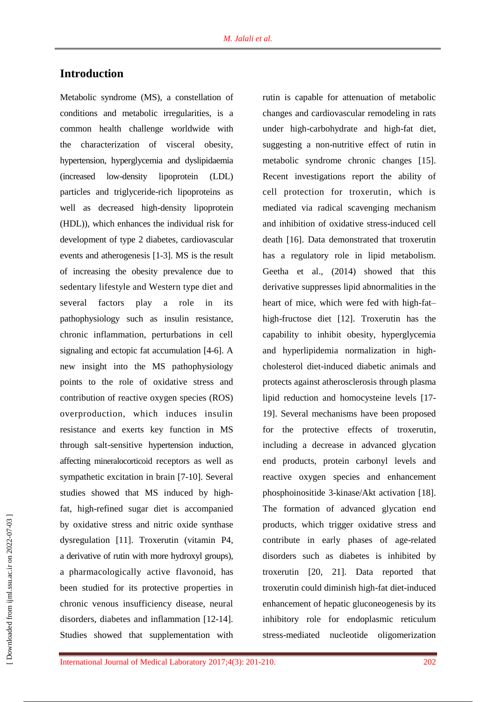## **Introduction**

Metabolic syndrome (MS), a constellation of conditions and metabolic irregularities, is a common health challenge worldwide with the characterization of visceral obesity, hypertension, hyperglycemia and dyslipidaemia (increased low-density lipoprotein (LDL) particles and triglyceride-rich lipoproteins as well as decreased high-density lipoprotein (HDL)), which enhances the individual risk for development of type 2 diabetes, cardiovascular events and atherogenesis [1-3]. MS is the result of increasing the obesity prevalence due to sedentary lifestyle and Western type diet and several factors play a role in its pathophysiology such as insulin resistance, chronic inflammation, perturbations in cell signaling and ectopic fat accumulation [4-6]. A new insight into the MS pathophysiology points to the role of oxidative stress and contribution of reactive oxygen species (ROS) overproduction, which induces insulin resistance and exerts key function in MS through salt-sensitive hypertension induction, affecting mineralocorticoid receptors as well as sympathetic excitation in brain [7-10]. Several studies showed that MS induced by highfat, high-refined sugar diet is accompanied by oxidative stress and nitric oxide synthase dysregulation [11]. Troxerutin (vitamin P4, a derivative of rutin with more hydroxyl groups), a pharmacologically active flavonoid, has been studied for its protective properties in chronic venous insufficiency disease, neural disorders, diabetes and inflammation [12-14]. Studies showed that supplementation with

rutin is capable for attenuation of metabolic changes and cardiovascular remodeling in rats under high-carbohydrate and high-fat diet, suggesting a non-nutritive effect of rutin in metabolic syndrome chronic changes [15]. Recent investigations report the ability of cell protection for troxerutin, which is mediated via radical scavenging mechanism and inhibition of oxidative stress-induced cell death [16]. Data demonstrated that troxerutin has a regulatory role in lipid metabolism. Geetha et al., (2014) showed that this derivative suppresses lipid abnormalities in the heart of mice, which were fed with high-fat– high-fructose diet [12]. Troxerutin has the capability to inhibit obesity, hyperglycemia and hyperlipidemia normalization in highcholesterol diet-induced diabetic animals and protects against atherosclerosis through plasma lipid reduction and homocysteine levels [17- 19]. Several mechanisms have been proposed for the protective effects of troxerutin, including a decrease in advanced glycation end products, protein carbonyl levels and reactive oxygen species and enhancement phosphoinositide 3-kinase/Akt activation [18]. The formation of advanced glycation end products, which trigger oxidative stress and contribute in early phases of age-related disorders such as diabetes is inhibited by troxerutin [20, 21]. Data reported that troxerutin could diminish high-fat diet-induced enhancement of hepatic gluconeogenesis by its inhibitory role for endoplasmic reticulum stress-mediated nucleotide oligomerization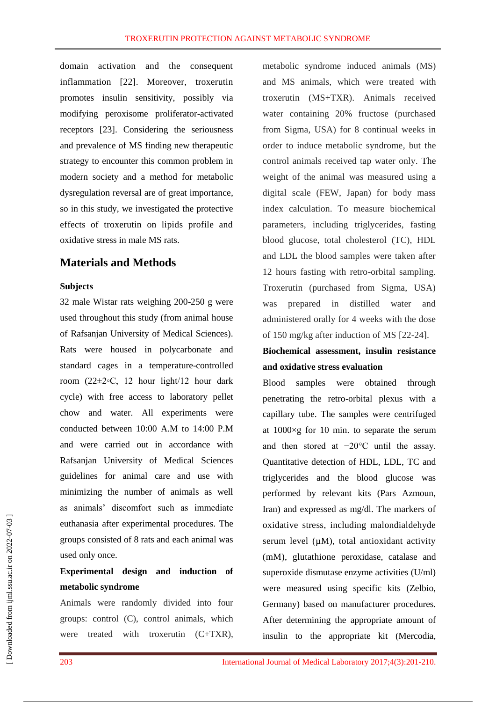domain activation and the consequent inflammation [22]. Moreover, troxerutin promotes insulin sensitivity, possibly via modifying peroxisome proliferator-activated receptors [23]. Considering the seriousness and prevalence of MS finding new therapeutic strategy to encounter this common problem in modern society and a method for metabolic dysregulation reversal are of great importance, so in this study, we investigated the protective effects of troxerutin on lipids profile and oxidative stress in male MS rats.

### **Materials and Methods**

#### **Subjects**

32 male Wistar rats weighing 200-250 g were used throughout this study (from animal house of Rafsanjan University of Medical Sciences). Rats were housed in polycarbonate and standard cages in a temperature-controlled room (22±2◦C, 12 hour light/12 hour dark cycle) with free access to laboratory pellet chow and water. All experiments were conducted between 10:00 A.M to 14:00 P.M and were carried out in accordance with Rafsanjan University of Medical Sciences guidelines for animal care and use with minimizing the number of animals as well as animals' discomfort such as immediate euthanasia after experimental procedures. The groups consisted of 8 rats and each animal was used only once.

## **Experimental design and induction of metabolic syndrome**

Animals were randomly divided into four groups: control (C), control animals, which were treated with troxerutin  $(C+TXR)$ , metabolic syndrome induced animals (MS) and MS animals, which were treated with troxerutin (MS+TXR). Animals received water containing 20% fructose (purchased from Sigma, USA) for 8 continual weeks in order to induce metabolic syndrome, but the control animals received tap water only. The weight of the animal was measured using a digital scale (FEW, Japan) for body mass index calculation. To measure biochemical parameters, including triglycerides, fasting blood glucose, total cholesterol (TC), HDL and LDL the blood samples were taken after 12 hours fasting with retro-orbital sampling. Troxerutin (purchased from Sigma, USA) was prepared in distilled water and administered orally for 4 weeks with the dose of 150 mg/kg after induction of MS [22-24].

## **Biochemical assessment, insulin resistance and oxidative stress evaluation**

Blood samples were obtained through penetrating the retro-orbital plexus with a capillary tube. The samples were centrifuged at  $1000 \times g$  for 10 min. to separate the serum and then stored at −20°C until the assay. Quantitative detection of HDL, LDL, TC and triglycerides and the blood glucose was performed by relevant kits (Pars Azmoun, Iran) and expressed as mg/dl. The markers of oxidative stress, including malondialdehyde serum level  $(\mu M)$ , total antioxidant activity (mM), glutathione peroxidase, catalase and superoxide dismutase enzyme activities (U/ml) were measured using specific kits (Zelbio, Germany) based on manufacturer procedures. After determining the appropriate amount of insulin to the appropriate kit (Mercodia,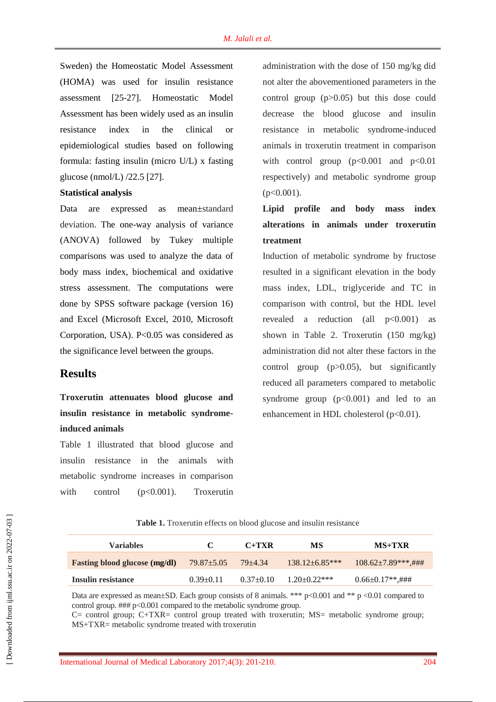Sweden) the Homeostatic Model Assessment (HOMA) was used for insulin resistance assessment [25-27]. Homeostatic Model Assessment has been widely used as an insulin resistance index in the clinical or epidemiological studies based on following formula: fasting insulin (micro U/L) x fasting glucose (nmol/L) /22.5 [27].

#### **Statistical analysis**

Data are expressed as mean±standard deviation. The one-way analysis of variance (ANOVA) followed by Tukey multiple comparisons was used to analyze the data of body mass index, biochemical and oxidative stress assessment. The computations were done by SPSS software package (version 16) and Excel (Microsoft Excel, 2010, Microsoft Corporation, USA). P<0.05 was considered as the significance level between the groups.

#### **Results**

**Troxerutin attenuates blood glucose and insulin resistance in metabolic syndromeinduced animals**

Table 1 illustrated that blood glucose and insulin resistance in the animals with metabolic syndrome increases in comparison with control (p<0.001). Troxerutin

administration with the dose of 150 mg/kg did not alter the abovementioned parameters in the control group (p>0.05) but this dose could decrease the blood glucose and insulin resistance in metabolic syndrome-induced animals in troxerutin treatment in comparison with control group  $(p<0.001$  and  $p<0.01$ respectively) and metabolic syndrome group  $(p<0.001)$ .

## **Lipid profile and body mass index alterations in animals under troxerutin treatment**

Induction of metabolic syndrome by fructose resulted in a significant elevation in the body mass index, LDL, triglyceride and TC in comparison with control, but the HDL level revealed a reduction (all  $p<0.001$ ) as shown in Table 2. Troxerutin (150 mg/kg) administration did not alter these factors in the control group  $(p>0.05)$ , but significantly reduced all parameters compared to metabolic syndrome group  $(p<0.001)$  and led to an enhancement in HDL cholesterol (p<0.01).

**Table 1.** Troxerutin effects on blood glucose and insulin resistance

| <b>Variables</b>                     | C                | $C+TXR$     | <b>MS</b>          | MS+TXR                    |
|--------------------------------------|------------------|-------------|--------------------|---------------------------|
| <b>Fasting blood glucose (mg/dl)</b> | $79.87 \pm 5.05$ | $79 + 4.34$ | $138.12 + 6.85***$ | $108.62 \pm 7.89$ ***,### |
| Insulin resistance                   | $0.39 \pm 0.11$  | $0.37+0.10$ | $1.20+0.22***$     | $0.66 \pm 0.17$ **.###    |

Data are expressed as mean±SD. Each group consists of 8 animals. \*\*\* p<0.001 and \*\* p <0.01 compared to control group. ### p<0.001 compared to the metabolic syndrome group.

C= control group; C+TXR= control group treated with troxerutin; MS= metabolic syndrome group; MS+TXR= metabolic syndrome treated with troxerutin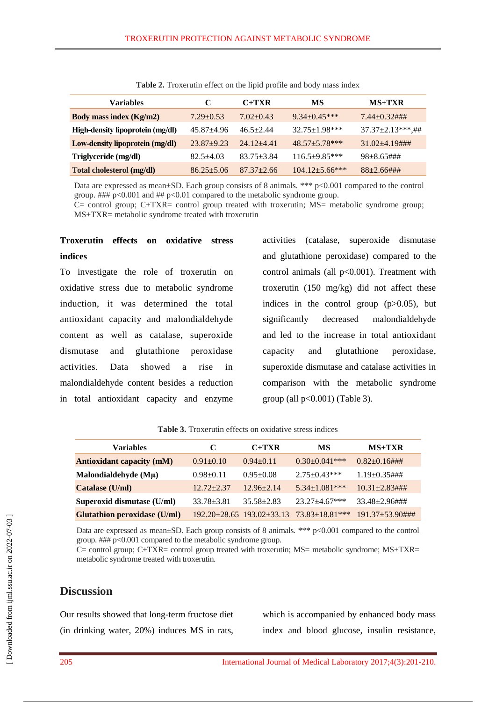| <b>Variables</b>                 |                | $C+TXR$          | MS                   | $MS+TXR$                            |
|----------------------------------|----------------|------------------|----------------------|-------------------------------------|
| <b>Body mass index (Kg/m2)</b>   | $7.29 + 0.53$  | $7.02+0.43$      | $9.34 + 0.45***$     | $7.44 + 0.32$ ###                   |
| High-density lipoprotein (mg/dl) | $45.87 + 4.96$ | $46.5 + 2.44$    | $32.75 \pm 1.98$ *** | $37.37 \pm 2.13$ ***,##             |
| Low-density lipoprotein (mg/dl)  | $23.87+9.23$   | $24.12 + 4.41$   | $48.57 + 5.78$ ***   | $31.02 + 4.19$ ###                  |
| Triglyceride (mg/dl)             | $82.5 + 4.03$  | $83.75 \pm 3.84$ | $116.5 \pm 9.85$ *** | $98 \pm 8.65 \text{ \#} \text{ \#}$ |
| Total cholesterol (mg/dl)        | $86.25 + 5.06$ | $87.37 + 2.66$   | $104.12 + 5.66$ ***  | $88 + 2.66$ ###                     |

**Table 2.** Troxerutin effect on the lipid profile and body mass index

Data are expressed as mean±SD. Each group consists of 8 animals. \*\*\* p<0.001 compared to the control group. ### p<0.001 and ## p<0.01 compared to the metabolic syndrome group.

C= control group; C+TXR= control group treated with troxerutin; MS= metabolic syndrome group; MS+TXR= metabolic syndrome treated with troxerutin

### **Troxerutin effects on oxidative stress indices**

To investigate the role of troxerutin on oxidative stress due to metabolic syndrome induction, it was determined the total antioxidant capacity and malondialdehyde content as well as catalase, superoxide dismutase and glutathione peroxidase activities. Data showed a rise in malondialdehyde content besides a reduction in total antioxidant capacity and enzyme

activities (catalase, superoxide dismutase and glutathione peroxidase) compared to the control animals (all  $p<0.001$ ). Treatment with troxerutin (150 mg/kg) did not affect these indices in the control group  $(p>0.05)$ , but significantly decreased malondialdehyde and led to the increase in total antioxidant capacity and glutathione peroxidase, superoxide dismutase and catalase activities in comparison with the metabolic syndrome group (all  $p<0.001$ ) (Table 3).

**Table 3.** Troxerutin effects on oxidative stress indices

| <b>Variables</b>                    | C               | $C+TXR$                               | MS                    | $MS+TXR$                               |
|-------------------------------------|-----------------|---------------------------------------|-----------------------|----------------------------------------|
| <b>Antioxidant capacity (mM)</b>    | $0.91 \pm 0.10$ | $0.94 + 0.11$                         | $0.30 \pm 0.041$ ***  | $0.82 \pm 0.16 \text{ \#} \text{ \#}$  |
| Malondialdehyde $(M\mu)$            | $0.98 \pm 0.11$ | $0.95 \pm 0.08$                       | $2.75 \pm 0.43***$    | $1.19\pm 0.35$ ###                     |
| Catalase (U/ml)                     | $12.72 + 2.37$  | $12.96 + 2.14$                        | $5.34 \pm 1.081$ ***  | $10.31 \pm 2.83 \text{ \#} \text{ \#}$ |
| Superoxid dismutase (U/ml)          | $33.78 + 3.81$  | $35.58 + 2.83$                        | $23.27 + 4.67$ ***    | $33.48 + 2.96$ ###                     |
| <b>Glutathion peroxidase (U/ml)</b> |                 | $192.20 \pm 28.65$ $193.02 \pm 33.13$ | $73.83 \pm 18.81$ *** | $191.37 + 53.90$ ###                   |

Data are expressed as mean±SD. Each group consists of 8 animals. \*\*\* p<0.001 compared to the control group. ### p<0.001 compared to the metabolic syndrome group.

C= control group; C+TXR= control group treated with troxerutin; MS= metabolic syndrome; MS+TXR= metabolic syndrome treated with troxerutin.

#### **Discussion**

Our results showed that long-term fructose diet (in drinking water, 20%) induces MS in rats, which is accompanied by enhanced body mass index and blood glucose, insulin resistance,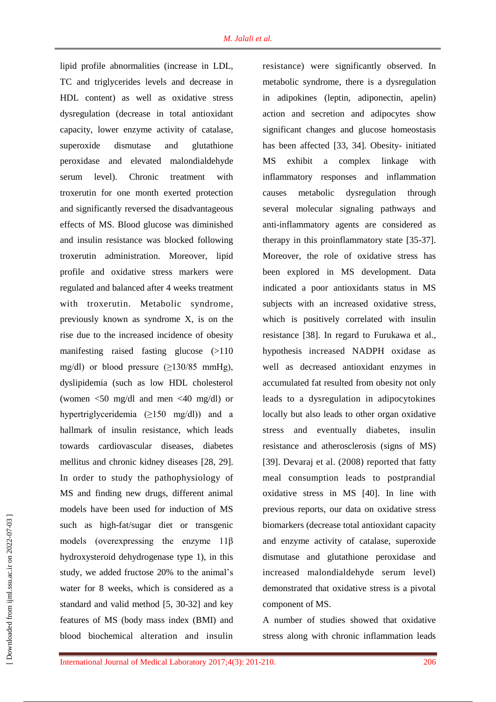lipid profile abnormalities (increase in LDL, TC and triglycerides levels and decrease in HDL content) as well as oxidative stress dysregulation (decrease in total antioxidant capacity, lower enzyme activity of catalase, superoxide dismutase and glutathione peroxidase and elevated malondialdehyde serum level). Chronic treatment with troxerutin for one month exerted protection and significantly reversed the disadvantageous effects of MS. Blood glucose was diminished and insulin resistance was blocked following troxerutin administration. Moreover, lipid profile and oxidative stress markers were regulated and balanced after 4 weeks treatment with troxerutin. Metabolic syndrome, previously known as syndrome X, is on the rise due to the increased incidence of obesity manifesting raised fasting glucose (>110 mg/dl) or blood pressure  $(\geq 130/85 \text{ mmHg})$ , dyslipidemia (such as low HDL cholesterol (women <50 mg/dl and men <40 mg/dl) or hypertriglyceridemia (≥150 mg/dl)) and a hallmark of insulin resistance, which leads towards cardiovascular diseases, diabetes mellitus and chronic kidney diseases [28, 29]. In order to study the pathophysiology of MS and finding new drugs, different animal models have been used for induction of MS such as high-fat/sugar diet or transgenic models (overexpressing the enzyme 11β hydroxysteroid dehydrogenase type 1), in this study, we added fructose 20% to the animal's water for 8 weeks, which is considered as a standard and valid method [5, 30-32] and key features of MS (body mass index (BMI) and blood biochemical alteration and insulin resistance) were significantly observed. In metabolic syndrome, there is a dysregulation in adipokines (leptin, adiponectin, apelin) action and secretion and adipocytes show significant changes and glucose homeostasis has been affected [33, 34]. Obesity- initiated MS exhibit a complex linkage with inflammatory responses and inflammation causes metabolic dysregulation through several molecular signaling pathways and anti-inflammatory agents are considered as therapy in this proinflammatory state [35-37]. Moreover, the role of oxidative stress has been explored in MS development. Data indicated a poor antioxidants status in MS subjects with an increased oxidative stress, which is positively correlated with insulin resistance [38]. In regard to Furukawa et al., hypothesis increased NADPH oxidase as well as decreased antioxidant enzymes in accumulated fat resulted from obesity not only leads to a dysregulation in adipocytokines locally but also leads to other organ oxidative stress and eventually diabetes, insulin resistance and atherosclerosis (signs of MS) [39]. Devaraj et al. (2008) reported that fatty meal consumption leads to postprandial oxidative stress in MS [40]. In line with previous reports, our data on oxidative stress biomarkers (decrease total antioxidant capacity and enzyme activity of catalase, superoxide dismutase and glutathione peroxidase and increased malondialdehyde serum level) demonstrated that oxidative stress is a pivotal component of MS.

A number of studies showed that oxidative stress along with chronic inflammation leads

 [\[ Downloaded from ijml.ssu.ac.ir on 2022-](https://ijml.ssu.ac.ir/article-1-195-en.html)07-03 ] Downloaded from ijml.ssu.ac.ir on 2022-07-03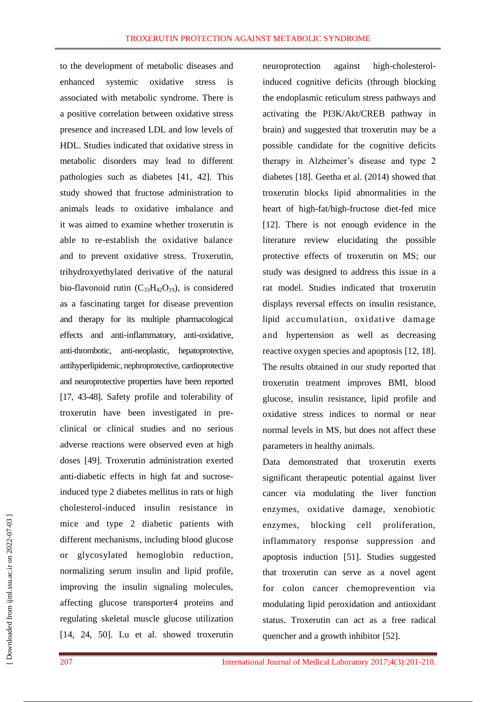to the development of metabolic diseases and enhanced systemic oxidative stress is associated with metabolic syndrome. There is a positive correlation between oxidative stress presence and increased LDL and low levels of HDL. Studies indicated that oxidative stress in metabolic disorders may lead to different pathologies such as diabetes [41, 42]. This study showed that fructose administration to animals leads to oxidative imbalance and it was aimed to examine whether troxerutin is able to re-establish the oxidative balance and to prevent oxidative stress. Troxerutin, trihydroxyethylated derivative of the natural bio-flavonoid rutin  $(C_{33}H_{42}O_{19})$ , is considered as a fascinating target for disease prevention and therapy for its multiple pharmacological effects and anti-inflammatory, anti-oxidative, anti-thrombotic, anti-neoplastic, hepatoprotective, antihyperlipidemic, nephroprotective, cardioprotective and neuroprotective properties have been reported [17, 43-48]. Safety profile and tolerability of troxerutin have been investigated in preclinical or clinical studies and no serious adverse reactions were observed even at high doses [49]. Troxerutin administration exerted anti-diabetic effects in high fat and sucroseinduced type 2 diabetes mellitus in rats or high cholesterol-induced insulin resistance in mice and type 2 diabetic patients with different mechanisms, including blood glucose or glycosylated hemoglobin reduction, normalizing serum insulin and lipid profile, improving the insulin signaling molecules, affecting glucose transporter4 proteins and regulating skeletal muscle glucose utilization [14, 24, 50]. Lu et al. showed troxerutin

neuroprotection against high-cholesterolinduced cognitive deficits (through blocking the endoplasmic reticulum stress pathways and activating the PI3K/Akt/CREB pathway in brain) and suggested that troxerutin may be a possible candidate for the cognitive deficits therapy in Alzheimer's disease and type 2 diabetes [18]. Geetha et al. (2014) showed that troxerutin blocks lipid abnormalities in the heart of high-fat/high-fructose diet-fed mice [12]. There is not enough evidence in the literature review elucidating the possible protective effects of troxerutin on MS; our study was designed to address this issue in a rat model. Studies indicated that troxerutin displays reversal effects on insulin resistance, lipid accumulation, oxidative damage and hypertension as well as decreasing reactive oxygen species and apoptosis [12, 18]. The results obtained in our study reported that troxerutin treatment improves BMI, blood glucose, insulin resistance, lipid profile and oxidative stress indices to normal or near normal levels in MS, but does not affect these parameters in healthy animals.

Data demonstrated that troxerutin exerts significant therapeutic potential against liver cancer via modulating the liver function enzymes, oxidative damage, xenobiotic enzymes, blocking cell proliferation, inflammatory response suppression and apoptosis induction [51]. Studies suggested that troxerutin can serve as a novel agent for colon cancer chemoprevention via modulating lipid peroxidation and antioxidant status. Troxerutin can act as a free radical quencher and a growth inhibitor [52].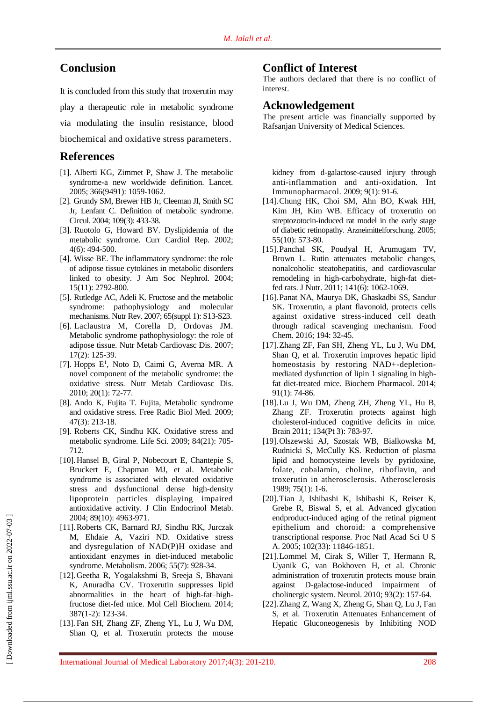### **Conclusion**

It is concluded from this study that troxerutin may play a therapeutic role in metabolic syndrome via modulating the insulin resistance, blood biochemical and oxidative stress parameters.

## **References**

- [1]. Alberti KG, Zimmet P, Shaw J. The metabolic syndrome-a new worldwide definition. Lancet. 2005; 366(9491): 1059-1062.
- [2]. Grundy SM, Brewer HB Jr, Cleeman JI, Smith SC Jr, Lenfant C. Definition of metabolic syndrome. Circul. 2004; 109(3): 433-38.
- [3]. Ruotolo G, Howard BV. Dyslipidemia of the metabolic syndrome. Curr Cardiol Rep. 2002; 4(6): 494-500.
- [4]. [W](https://www.ncbi.nlm.nih.gov/pubmed/?term=Wisse%20BE%5BAuthor%5D&cauthor=true&cauthor_uid=15504932)isse BE. The inflammatory syndrome: the role of adipose tissue cytokines in metabolic disorders linked to obesity. J Am [Soc Nephrol.](https://www.ncbi.nlm.nih.gov/pubmed/?term=2004.+15%2811%29%3A+p.+2792-2800) 2004; 15(11): 2792-800.
- [5]. [Rutledge AC,](https://www.ncbi.nlm.nih.gov/pubmed/?term=Rutledge%20AC%5BAuthor%5D&cauthor=true&cauthor_uid=17605309) [Adeli K.](https://www.ncbi.nlm.nih.gov/pubmed/?term=Adeli%20K%5BAuthor%5D&cauthor=true&cauthor_uid=17605309) Fructose and the metabolic syndrome: pathophysiology and molecular mechanisms[. Nutr Rev.](https://www.ncbi.nlm.nih.gov/pubmed/?term=Fructose+and+the+metabolic+syndrome%3A+pathophysiology+and+molecular+mechanisms.+Nutrition+reviews) 2007; 65(suppl 1): S13-S23.
- [6]. [Laclaustra M,](https://www.ncbi.nlm.nih.gov/pubmed/?term=Laclaustra%20M%5BAuthor%5D&cauthor=true&cauthor_uid=17270403) [Corella D,](https://www.ncbi.nlm.nih.gov/pubmed/?term=Corella%20D%5BAuthor%5D&cauthor=true&cauthor_uid=17270403) [Ordovas JM.](https://www.ncbi.nlm.nih.gov/pubmed/?term=Ordovas%20JM%5BAuthor%5D&cauthor=true&cauthor_uid=17270403) Metabolic syndrome pathophysiology: the role of adipose tissue. [Nutr Metab Cardiovasc Dis.](https://www.ncbi.nlm.nih.gov/pubmed/17270403) 2007; 17(2): 125-39.
- [7]. [Hopps E](https://www.ncbi.nlm.nih.gov/pubmed/?term=Hopps%20E%5BAuthor%5D&cauthor=true&cauthor_uid=19747805)<sup>1</sup>, [Noto D,](https://www.ncbi.nlm.nih.gov/pubmed/?term=Noto%20D%5BAuthor%5D&cauthor=true&cauthor_uid=19747805) [Caimi G,](https://www.ncbi.nlm.nih.gov/pubmed/?term=Caimi%20G%5BAuthor%5D&cauthor=true&cauthor_uid=19747805) [Averna MR.](https://www.ncbi.nlm.nih.gov/pubmed/?term=Averna%20MR%5BAuthor%5D&cauthor=true&cauthor_uid=19747805) A novel component of the metabolic syndrome: the oxidative stress. [Nutr Metab Cardiovasc Dis.](https://www.ncbi.nlm.nih.gov/pubmed/19747805) 2010; 20(1): 72-77.
- [8]. [Ando K,](https://www.ncbi.nlm.nih.gov/pubmed/?term=Ando%20K%5BAuthor%5D&cauthor=true&cauthor_uid=19409982) [Fujita T.](https://www.ncbi.nlm.nih.gov/pubmed/?term=Fujita%20T%5BAuthor%5D&cauthor=true&cauthor_uid=19409982) Fujita, Metabolic syndrome and oxidative stress. [Free Radic Biol Med.](https://www.ncbi.nlm.nih.gov/pubmed/?term=Ando%2C+K.+and+T.+Fujita%2C+Metabolic+syndrome+and+oxidative+stress.+Free+Radical+Biology+and+Medicine%2C+2009.+47%283%29%3A+p.+213-218.) 2009; 47(3): 213-18.
- [9]. [Roberts CK,](https://www.ncbi.nlm.nih.gov/pubmed/?term=Roberts%20CK%5BAuthor%5D&cauthor=true&cauthor_uid=19281826) [Sindhu KK.](https://www.ncbi.nlm.nih.gov/pubmed/?term=Sindhu%20KK%5BAuthor%5D&cauthor=true&cauthor_uid=19281826) Oxidative stress and metabolic syndrome. [Life Sci.](https://www.ncbi.nlm.nih.gov/pubmed/?term=Roberts%2C+C.K.+and+K.K.+Sindhu%2C+Oxidative+stress+and+metabolic+syndrome.+Life+sciences%2C+2009.+84%2821%29%3A+p.+705-712.) 2009; 84(21): 705- 712.
- [10][.Hansel B,](https://www.ncbi.nlm.nih.gov/pubmed/?term=Hansel%20B%5BAuthor%5D&cauthor=true&cauthor_uid=15472192) [Giral P,](https://www.ncbi.nlm.nih.gov/pubmed/?term=Giral%20P%5BAuthor%5D&cauthor=true&cauthor_uid=15472192) [Nobecourt E,](https://www.ncbi.nlm.nih.gov/pubmed/?term=Nobecourt%20E%5BAuthor%5D&cauthor=true&cauthor_uid=15472192) [Chantepie S,](https://www.ncbi.nlm.nih.gov/pubmed/?term=Chantepie%20S%5BAuthor%5D&cauthor=true&cauthor_uid=15472192) [Bruckert E,](https://www.ncbi.nlm.nih.gov/pubmed/?term=Bruckert%20E%5BAuthor%5D&cauthor=true&cauthor_uid=15472192) [Chapman MJ,](https://www.ncbi.nlm.nih.gov/pubmed/?term=Chapman%20MJ%5BAuthor%5D&cauthor=true&cauthor_uid=15472192) et al. Metabolic syndrome is associated with elevated oxidative stress and dysfunctional dense high-density lipoprotein particles displaying impaired antioxidative activity. [J Clin Endocrinol Metab.](https://www.ncbi.nlm.nih.gov/pubmed/?term=2004.+89%2810%29%3A+p.+4963-4971.) 2004; 89(10): 4963-971.
- [11][.Roberts CK,](https://www.ncbi.nlm.nih.gov/pubmed/?term=Roberts%20CK%5BAuthor%5D&cauthor=true&cauthor_uid=16784966) [Barnard RJ,](https://www.ncbi.nlm.nih.gov/pubmed/?term=Barnard%20RJ%5BAuthor%5D&cauthor=true&cauthor_uid=16784966) [Sindhu RK,](https://www.ncbi.nlm.nih.gov/pubmed/?term=Sindhu%20RK%5BAuthor%5D&cauthor=true&cauthor_uid=16784966) [Jurczak](https://www.ncbi.nlm.nih.gov/pubmed/?term=Jurczak%20M%5BAuthor%5D&cauthor=true&cauthor_uid=16784966)  [M,](https://www.ncbi.nlm.nih.gov/pubmed/?term=Jurczak%20M%5BAuthor%5D&cauthor=true&cauthor_uid=16784966) [Ehdaie A,](https://www.ncbi.nlm.nih.gov/pubmed/?term=Ehdaie%20A%5BAuthor%5D&cauthor=true&cauthor_uid=16784966) [Vaziri ND.](https://www.ncbi.nlm.nih.gov/pubmed/?term=Vaziri%20ND%5BAuthor%5D&cauthor=true&cauthor_uid=16784966) Oxidative stress and dysregulation of NAD(P)H oxidase and antioxidant enzymes in diet-induced metabolic syndrome. [Metabolism.](https://www.ncbi.nlm.nih.gov/pubmed/?term=%2C+2006.+55%287%29%3A+p.+928-934.) 2006; 55(7): 928-34.
- [12][.Geetha R,](https://www.ncbi.nlm.nih.gov/pubmed/?term=Geetha%20R%5BAuthor%5D&cauthor=true&cauthor_uid=24173620) [Yogalakshmi B,](https://www.ncbi.nlm.nih.gov/pubmed/?term=Yogalakshmi%20B%5BAuthor%5D&cauthor=true&cauthor_uid=24173620) [Sreeja S,](https://www.ncbi.nlm.nih.gov/pubmed/?term=Sreeja%20S%5BAuthor%5D&cauthor=true&cauthor_uid=24173620) [Bhavani](https://www.ncbi.nlm.nih.gov/pubmed/?term=Bhavani%20K%5BAuthor%5D&cauthor=true&cauthor_uid=24173620)  [K,](https://www.ncbi.nlm.nih.gov/pubmed/?term=Bhavani%20K%5BAuthor%5D&cauthor=true&cauthor_uid=24173620) [Anuradha CV.](https://www.ncbi.nlm.nih.gov/pubmed/?term=Anuradha%20CV%5BAuthor%5D&cauthor=true&cauthor_uid=24173620) Troxerutin suppresses lipid abnormalities in the heart of high-fat–highfructose diet-fed mice. [Mol Cell Biochem.](https://www.ncbi.nlm.nih.gov/pubmed/?term=2014.+387%281-2%29%3A+p.+123-134.) 2014; 387(1-2): 123-34.
- [13]. [Fan SH,](https://www.ncbi.nlm.nih.gov/pubmed/?term=Fan%20SH%5BAuthor%5D&cauthor=true&cauthor_uid=19000936) [Zhang ZF,](https://www.ncbi.nlm.nih.gov/pubmed/?term=Zhang%20ZF%5BAuthor%5D&cauthor=true&cauthor_uid=19000936) [Zheng YL,](https://www.ncbi.nlm.nih.gov/pubmed/?term=Zheng%20YL%5BAuthor%5D&cauthor=true&cauthor_uid=19000936) [Lu J,](https://www.ncbi.nlm.nih.gov/pubmed/?term=Lu%20J%5BAuthor%5D&cauthor=true&cauthor_uid=19000936) [Wu DM,](https://www.ncbi.nlm.nih.gov/pubmed/?term=Wu%20DM%5BAuthor%5D&cauthor=true&cauthor_uid=19000936) [Shan Q,](https://www.ncbi.nlm.nih.gov/pubmed/?term=Shan%20Q%5BAuthor%5D&cauthor=true&cauthor_uid=19000936) et al. Troxerutin protects the mouse

### **Conflict of Interest**

The authors declared that there is no conflict of interest.

#### **Acknowledgement**

The present article was financially supported by Rafsanjan University of Medical Sciences.

kidney from d-galactose-caused injury through anti-inflammation and anti-oxidation. [Int](https://www.ncbi.nlm.nih.gov/pubmed/?term=Troxerutin+protects+the+mouse+kidney+from+d-galactose-caused+injury+through+anti-inflammation+and+anti-oxidation)  [Immunopharmacol.](https://www.ncbi.nlm.nih.gov/pubmed/?term=Troxerutin+protects+the+mouse+kidney+from+d-galactose-caused+injury+through+anti-inflammation+and+anti-oxidation) 2009; 9(1): 91-6.

- [14][.Chung HK,](https://www.ncbi.nlm.nih.gov/pubmed/?term=Chung%20HK%5BAuthor%5D&cauthor=true&cauthor_uid=16294503) [Choi SM,](https://www.ncbi.nlm.nih.gov/pubmed/?term=Choi%20SM%5BAuthor%5D&cauthor=true&cauthor_uid=16294503) [Ahn BO,](https://www.ncbi.nlm.nih.gov/pubmed/?term=Ahn%20BO%5BAuthor%5D&cauthor=true&cauthor_uid=16294503) [Kwak HH,](https://www.ncbi.nlm.nih.gov/pubmed/?term=Kwak%20HH%5BAuthor%5D&cauthor=true&cauthor_uid=16294503) [Kim JH,](https://www.ncbi.nlm.nih.gov/pubmed/?term=Kim%20JH%5BAuthor%5D&cauthor=true&cauthor_uid=16294503) [Kim WB.](https://www.ncbi.nlm.nih.gov/pubmed/?term=Kim%20WB%5BAuthor%5D&cauthor=true&cauthor_uid=16294503) Efficacy of troxerutin on streptozotocin-induced rat model in the early stage of diabetic retinopathy. [Arzneimittelforschung.](https://www.ncbi.nlm.nih.gov/pubmed/?term=2005.+55%2810%29%3A+p.+573-580.) 2005; 55(10): 573-80.
- [15][.Panchal SK,](https://www.ncbi.nlm.nih.gov/pubmed/?term=Panchal%20SK%5BAuthor%5D&cauthor=true&cauthor_uid=21508207) [Poudyal H,](https://www.ncbi.nlm.nih.gov/pubmed/?term=Poudyal%20H%5BAuthor%5D&cauthor=true&cauthor_uid=21508207) [Arumugam TV,](https://www.ncbi.nlm.nih.gov/pubmed/?term=Arumugam%20TV%5BAuthor%5D&cauthor=true&cauthor_uid=21508207) [Brown L.](https://www.ncbi.nlm.nih.gov/pubmed/?term=Brown%20L%5BAuthor%5D&cauthor=true&cauthor_uid=21508207) Rutin attenuates metabolic changes, nonalcoholic steatohepatitis, and cardiovascular remodeling in high-carbohydrate, high-fat dietfed rats[. J Nutr.](https://www.ncbi.nlm.nih.gov/pubmed/?term=2011.+141%286%29%3A+p.+1062-1069.) 2011; 141(6): 1062-1069.
- [16][.Panat NA,](https://www.ncbi.nlm.nih.gov/pubmed/?term=Panat%20NA%5BAuthor%5D&cauthor=true&cauthor_uid=26471524) [Maurya DK,](https://www.ncbi.nlm.nih.gov/pubmed/?term=Maurya%20DK%5BAuthor%5D&cauthor=true&cauthor_uid=26471524) [Ghaskadbi SS,](https://www.ncbi.nlm.nih.gov/pubmed/?term=Ghaskadbi%20SS%5BAuthor%5D&cauthor=true&cauthor_uid=26471524) [Sandur](https://www.ncbi.nlm.nih.gov/pubmed/?term=Sandur%20SK%5BAuthor%5D&cauthor=true&cauthor_uid=26471524)  [SK.](https://www.ncbi.nlm.nih.gov/pubmed/?term=Sandur%20SK%5BAuthor%5D&cauthor=true&cauthor_uid=26471524) Troxerutin, a plant flavonoid, protects cells against oxidative stress-induced cell death through radical scavenging mechanism. [Food](https://www.ncbi.nlm.nih.gov/pubmed/?term=2016.+194%3A+p.+32-45.)  [Chem.](https://www.ncbi.nlm.nih.gov/pubmed/?term=2016.+194%3A+p.+32-45.) 2016; 194: 32-45.
- [17][.Zhang ZF,](https://www.ncbi.nlm.nih.gov/pubmed/?term=Zhang%20ZF%5BAuthor%5D&cauthor=true&cauthor_uid=25026599) [Fan SH,](https://www.ncbi.nlm.nih.gov/pubmed/?term=Fan%20SH%5BAuthor%5D&cauthor=true&cauthor_uid=25026599) [Zheng YL,](https://www.ncbi.nlm.nih.gov/pubmed/?term=Zheng%20YL%5BAuthor%5D&cauthor=true&cauthor_uid=25026599) [Lu J,](https://www.ncbi.nlm.nih.gov/pubmed/?term=Lu%20J%5BAuthor%5D&cauthor=true&cauthor_uid=25026599) [Wu DM,](https://www.ncbi.nlm.nih.gov/pubmed/?term=Wu%20DM%5BAuthor%5D&cauthor=true&cauthor_uid=25026599) [Shan Q,](https://www.ncbi.nlm.nih.gov/pubmed/?term=Shan%20Q%5BAuthor%5D&cauthor=true&cauthor_uid=25026599) et al. Troxerutin improves hepatic lipid homeostasis by restoring NAD+-depletionmediated dysfunction of lipin 1 signaling in highfat diet-treated mice. [Biochem Pharmacol.](https://www.ncbi.nlm.nih.gov/pubmed/?term=Troxerutin+improves+hepatic+lipid+homeostasis+by+restoring+NAD%2B-depletion-mediated+dysfunction+of+lipin+1+signaling+in+high-fat+diet-treated+mice) 2014; 91(1): 74-86.
- [18][.Lu J,](https://www.ncbi.nlm.nih.gov/pubmed/?term=Lu%20J%5BAuthor%5D&cauthor=true&cauthor_uid=21252113) [Wu DM,](https://www.ncbi.nlm.nih.gov/pubmed/?term=Wu%20DM%5BAuthor%5D&cauthor=true&cauthor_uid=21252113) [Zheng ZH,](https://www.ncbi.nlm.nih.gov/pubmed/?term=Zheng%20ZH%5BAuthor%5D&cauthor=true&cauthor_uid=21252113) [Zheng YL,](https://www.ncbi.nlm.nih.gov/pubmed/?term=Zheng%20YL%5BAuthor%5D&cauthor=true&cauthor_uid=21252113) [Hu B,](https://www.ncbi.nlm.nih.gov/pubmed/?term=Hu%20B%5BAuthor%5D&cauthor=true&cauthor_uid=21252113) [Zhang ZF.](https://www.ncbi.nlm.nih.gov/pubmed/?term=Zhang%20ZF%5BAuthor%5D&cauthor=true&cauthor_uid=21252113) Troxerutin protects against high cholesterol-induced cognitive deficits in mice. Brain 2011; 134(Pt 3): 783-97.
- [19][.Olszewski AJ,](https://www.ncbi.nlm.nih.gov/pubmed/?term=Olszewski%20AJ%5BAuthor%5D&cauthor=true&cauthor_uid=2930611) [Szostak WB,](https://www.ncbi.nlm.nih.gov/pubmed/?term=Szostak%20WB%5BAuthor%5D&cauthor=true&cauthor_uid=2930611) [Bialkowska M,](https://www.ncbi.nlm.nih.gov/pubmed/?term=Bialkowska%20M%5BAuthor%5D&cauthor=true&cauthor_uid=2930611) [Rudnicki S,](https://www.ncbi.nlm.nih.gov/pubmed/?term=Rudnicki%20S%5BAuthor%5D&cauthor=true&cauthor_uid=2930611) [McCully KS.](https://www.ncbi.nlm.nih.gov/pubmed/?term=McCully%20KS%5BAuthor%5D&cauthor=true&cauthor_uid=2930611) Reduction of plasma lipid and homocysteine levels by pyridoxine, folate, cobalamin, choline, riboflavin, and troxerutin in atherosclerosis. Atherosclerosis 1989; 75(1): 1-6.
- [20][.Tian J,](https://www.ncbi.nlm.nih.gov/pubmed/?term=Tian%20J%5BAuthor%5D&cauthor=true&cauthor_uid=16081535) [Ishibashi K,](https://www.ncbi.nlm.nih.gov/pubmed/?term=Ishibashi%20K%5BAuthor%5D&cauthor=true&cauthor_uid=16081535) [Ishibashi K,](https://www.ncbi.nlm.nih.gov/pubmed/?term=Ishibashi%20K%5BAuthor%5D&cauthor=true&cauthor_uid=16081535) [Reiser K,](https://www.ncbi.nlm.nih.gov/pubmed/?term=Reiser%20K%5BAuthor%5D&cauthor=true&cauthor_uid=16081535) [Grebe R,](https://www.ncbi.nlm.nih.gov/pubmed/?term=Grebe%20R%5BAuthor%5D&cauthor=true&cauthor_uid=16081535) [Biswal S,](https://www.ncbi.nlm.nih.gov/pubmed/?term=Biswal%20S%5BAuthor%5D&cauthor=true&cauthor_uid=16081535) et al. Advanced glycation endproduct-induced aging of the retinal pigment epithelium and choroid: a comprehensive transcriptional response. Proc Natl Acad Sci U S A. 2005; 102(33): 11846-1851.
- [21][.Lommel M,](https://www.ncbi.nlm.nih.gov/pubmed/?term=Lommel%20M%5BAuthor%5D&cauthor=true&cauthor_uid=20065251) [Cirak S,](https://www.ncbi.nlm.nih.gov/pubmed/?term=Cirak%20S%5BAuthor%5D&cauthor=true&cauthor_uid=20065251) [Willer T,](https://www.ncbi.nlm.nih.gov/pubmed/?term=Willer%20T%5BAuthor%5D&cauthor=true&cauthor_uid=20065251) [Hermann R,](https://www.ncbi.nlm.nih.gov/pubmed/?term=Hermann%20R%5BAuthor%5D&cauthor=true&cauthor_uid=20065251) [Uyanik G,](https://www.ncbi.nlm.nih.gov/pubmed/?term=Uyanik%20G%5BAuthor%5D&cauthor=true&cauthor_uid=20065251) [van Bokhoven H,](https://www.ncbi.nlm.nih.gov/pubmed/?term=van%20Bokhoven%20H%5BAuthor%5D&cauthor=true&cauthor_uid=20065251) et al. Chronic administration of troxerutin protects mouse brain against D-galactose-induced impairment of cholinergic system. [Neurol.](https://www.ncbi.nlm.nih.gov/pubmed/?term=2010.+93%282%29%3A+p.+157-64.) 2010; 93(2): 157-64.
- [22][.Zhang Z,](https://www.ncbi.nlm.nih.gov/pubmed/?term=Zhang%20Z%5BAuthor%5D&cauthor=true&cauthor_uid=28029143) [Wang X,](https://www.ncbi.nlm.nih.gov/pubmed/?term=Wang%20X%5BAuthor%5D&cauthor=true&cauthor_uid=28029143) [Zheng G,](https://www.ncbi.nlm.nih.gov/pubmed/?term=Zheng%20G%5BAuthor%5D&cauthor=true&cauthor_uid=28029143) [Shan Q,](https://www.ncbi.nlm.nih.gov/pubmed/?term=Shan%20Q%5BAuthor%5D&cauthor=true&cauthor_uid=28029143) [Lu J,](https://www.ncbi.nlm.nih.gov/pubmed/?term=Lu%20J%5BAuthor%5D&cauthor=true&cauthor_uid=28029143) [Fan](https://www.ncbi.nlm.nih.gov/pubmed/?term=Fan%20S%5BAuthor%5D&cauthor=true&cauthor_uid=28029143)  [S,](https://www.ncbi.nlm.nih.gov/pubmed/?term=Fan%20S%5BAuthor%5D&cauthor=true&cauthor_uid=28029143) et al. Troxerutin Attenuates Enhancement of Hepatic Gluconeogenesis by Inhibiting NOD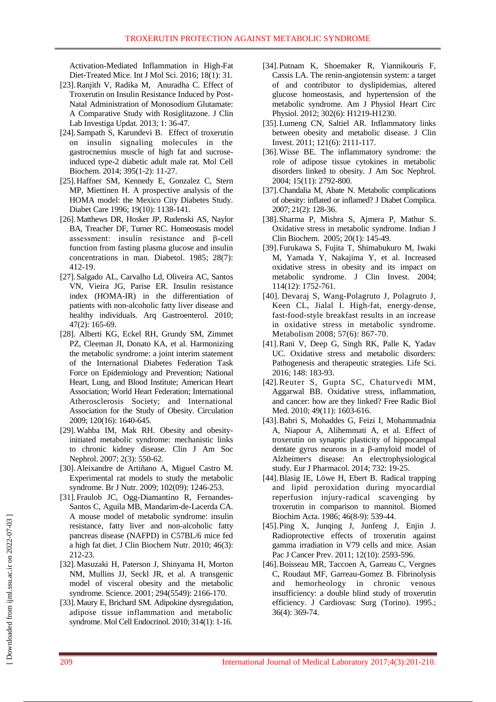Activation-Mediated Inflammation in High-Fat Diet-Treated Mice[. Int J Mol Sci.](https://www.ncbi.nlm.nih.gov/pubmed/?term=Troxerutin+Attenuates+Enhancement+of+Hepatic+Gluconeogenesis+by+Inhibiting+NOD+Activation-Mediated+Inflammation+in+High-Fat+Diet-Treated+Mice.) 2016; 18(1): 31.

- [23].Ranjith V, Radika M, Anuradha C. Effect of Troxerutin on Insulin Resistance Induced by Post-Natal Administration of Monosodium Glutamate: A Comparative Study with Rosiglitazone. J Clin Lab Investiga Updat. 2013; 1: 36-47.
- [24][.Sampath S,](https://www.ncbi.nlm.nih.gov/pubmed/?term=Sampath%20S%5BAuthor%5D&cauthor=true&cauthor_uid=24880482) [Karundevi B.](https://www.ncbi.nlm.nih.gov/pubmed/?term=Karundevi%20B%5BAuthor%5D&cauthor=true&cauthor_uid=24880482) Effect of troxerutin on insulin signaling molecules in the gastrocnemius muscle of high fat and sucroseinduced type-2 diabetic adult male rat. [Mol Cell](https://www.ncbi.nlm.nih.gov/pubmed/?term=2014.+395%281-2%29%3A+p.+11-27.)  [Biochem.](https://www.ncbi.nlm.nih.gov/pubmed/?term=2014.+395%281-2%29%3A+p.+11-27.) 2014; 395(1-2): 11-27.
- [25][.Haffner SM,](https://www.ncbi.nlm.nih.gov/pubmed/?term=Haffner%20SM%5BAuthor%5D&cauthor=true&cauthor_uid=8886564) [Kennedy E,](https://www.ncbi.nlm.nih.gov/pubmed/?term=Kennedy%20E%5BAuthor%5D&cauthor=true&cauthor_uid=8886564) [Gonzalez C,](https://www.ncbi.nlm.nih.gov/pubmed/?term=Gonzalez%20C%5BAuthor%5D&cauthor=true&cauthor_uid=8886564) [Stern](https://www.ncbi.nlm.nih.gov/pubmed/?term=Stern%20MP%5BAuthor%5D&cauthor=true&cauthor_uid=8886564)  [MP,](https://www.ncbi.nlm.nih.gov/pubmed/?term=Stern%20MP%5BAuthor%5D&cauthor=true&cauthor_uid=8886564) [Miettinen H.](https://www.ncbi.nlm.nih.gov/pubmed/?term=Miettinen%20H%5BAuthor%5D&cauthor=true&cauthor_uid=8886564) A prospective analysis of the HOMA model: the Mexico City Diabetes Study. Diabet Care 1996; 19(10): 1138-141.
- [26][.Matthews DR,](https://www.ncbi.nlm.nih.gov/pubmed/?term=Matthews%20DR%5BAuthor%5D&cauthor=true&cauthor_uid=3899825) [Hosker JP,](https://www.ncbi.nlm.nih.gov/pubmed/?term=Hosker%20JP%5BAuthor%5D&cauthor=true&cauthor_uid=3899825) [Rudenski AS,](https://www.ncbi.nlm.nih.gov/pubmed/?term=Rudenski%20AS%5BAuthor%5D&cauthor=true&cauthor_uid=3899825) [Naylor](https://www.ncbi.nlm.nih.gov/pubmed/?term=Naylor%20BA%5BAuthor%5D&cauthor=true&cauthor_uid=3899825)  [BA,](https://www.ncbi.nlm.nih.gov/pubmed/?term=Naylor%20BA%5BAuthor%5D&cauthor=true&cauthor_uid=3899825) [Treacher DF,](https://www.ncbi.nlm.nih.gov/pubmed/?term=Treacher%20DF%5BAuthor%5D&cauthor=true&cauthor_uid=3899825) [Turner RC.](https://www.ncbi.nlm.nih.gov/pubmed/?term=Turner%20RC%5BAuthor%5D&cauthor=true&cauthor_uid=3899825) Homeostasis model assessment: insulin resistance and β-cell function from fasting plasma glucose and insulin concentrations in man. Diabetol. 1985; 28(7): 412-19.
- [27][.Salgado AL,](https://www.ncbi.nlm.nih.gov/pubmed/?term=Salgado%20AL%5BAuthor%5D&cauthor=true&cauthor_uid=20721461) [Carvalho Ld,](https://www.ncbi.nlm.nih.gov/pubmed/?term=Carvalho%20Ld%5BAuthor%5D&cauthor=true&cauthor_uid=20721461) [Oliveira AC,](https://www.ncbi.nlm.nih.gov/pubmed/?term=Oliveira%20AC%5BAuthor%5D&cauthor=true&cauthor_uid=20721461) [Santos](https://www.ncbi.nlm.nih.gov/pubmed/?term=Santos%20VN%5BAuthor%5D&cauthor=true&cauthor_uid=20721461)  [VN,](https://www.ncbi.nlm.nih.gov/pubmed/?term=Santos%20VN%5BAuthor%5D&cauthor=true&cauthor_uid=20721461) [Vieira JG,](https://www.ncbi.nlm.nih.gov/pubmed/?term=Vieira%20JG%5BAuthor%5D&cauthor=true&cauthor_uid=20721461) [Parise ER.](https://www.ncbi.nlm.nih.gov/pubmed/?term=Parise%20ER%5BAuthor%5D&cauthor=true&cauthor_uid=20721461) Insulin resistance index (HOMA-IR) in the differentiation of patients with non-alcoholic fatty liver disease and healthy individuals. Arq Gastroenterol. 2010; 47(2): 165-69.
- [28]. [Alberti KG,](https://www.ncbi.nlm.nih.gov/pubmed/?term=Alberti%20KG%5BAuthor%5D&cauthor=true&cauthor_uid=19805654) [Eckel RH,](https://www.ncbi.nlm.nih.gov/pubmed/?term=Eckel%20RH%5BAuthor%5D&cauthor=true&cauthor_uid=19805654) [Grundy SM,](https://www.ncbi.nlm.nih.gov/pubmed/?term=Grundy%20SM%5BAuthor%5D&cauthor=true&cauthor_uid=19805654) [Zimmet](https://www.ncbi.nlm.nih.gov/pubmed/?term=Zimmet%20PZ%5BAuthor%5D&cauthor=true&cauthor_uid=19805654)  [PZ,](https://www.ncbi.nlm.nih.gov/pubmed/?term=Zimmet%20PZ%5BAuthor%5D&cauthor=true&cauthor_uid=19805654) [Cleeman JI,](https://www.ncbi.nlm.nih.gov/pubmed/?term=Cleeman%20JI%5BAuthor%5D&cauthor=true&cauthor_uid=19805654) [Donato KA,](https://www.ncbi.nlm.nih.gov/pubmed/?term=Donato%20KA%5BAuthor%5D&cauthor=true&cauthor_uid=19805654) et al. Harmonizing the metabolic syndrome: a joint interim statement of the International Diabetes Federation Task Force on Epidemiology and Prevention; National Heart, Lung, and Blood Institute; American Heart Association; World Heart Federation; International Atherosclerosis Society; and International Association for the Study of Obesity. Circulation 2009; 120(16): 1640-645.
- [29][.Wahba IM,](https://www.ncbi.nlm.nih.gov/pubmed/?term=Wahba%20IM%5BAuthor%5D&cauthor=true&cauthor_uid=17699463) [Mak RH.](https://www.ncbi.nlm.nih.gov/pubmed/?term=Mak%20RH%5BAuthor%5D&cauthor=true&cauthor_uid=17699463) Obesity and obesityinitiated metabolic syndrome: mechanistic links to chronic kidney disease. [Clin J Am Soc](https://www.ncbi.nlm.nih.gov/pubmed/?term=2007.+2%283%29%3A+p.+550-562.)  [Nephrol.](https://www.ncbi.nlm.nih.gov/pubmed/?term=2007.+2%283%29%3A+p.+550-562.) 2007; 2(3): 550-62.
- [30][.Aleixandre de Artiñano A,](https://www.ncbi.nlm.nih.gov/pubmed/?term=Aleixandre%20de%20Arti%C3%B1ano%20A%5BAuthor%5D&cauthor=true&cauthor_uid=19631025) [Miguel Castro M.](https://www.ncbi.nlm.nih.gov/pubmed/?term=Miguel%20Castro%20M%5BAuthor%5D&cauthor=true&cauthor_uid=19631025) Experimental rat models to study the metabolic syndrome. [Br J Nutr.](https://www.ncbi.nlm.nih.gov/pubmed/?term=2009.+102%2809%29%3A+p.+1246-1253.) 2009; 102(09): 1246-253.
- [31][.Fraulob JC,](https://www.ncbi.nlm.nih.gov/pubmed/?term=Fraulob%20JC%5BAuthor%5D&cauthor=true&cauthor_uid=20490316) [Ogg-Diamantino R,](https://www.ncbi.nlm.nih.gov/pubmed/?term=Ogg-Diamantino%20R%5BAuthor%5D&cauthor=true&cauthor_uid=20490316) [Fernandes-](https://www.ncbi.nlm.nih.gov/pubmed/?term=Fernandes-Santos%20C%5BAuthor%5D&cauthor=true&cauthor_uid=20490316)[Santos C,](https://www.ncbi.nlm.nih.gov/pubmed/?term=Fernandes-Santos%20C%5BAuthor%5D&cauthor=true&cauthor_uid=20490316) [Aguila MB,](https://www.ncbi.nlm.nih.gov/pubmed/?term=Aguila%20MB%5BAuthor%5D&cauthor=true&cauthor_uid=20490316) [Mandarim-de-Lacerda CA.](https://www.ncbi.nlm.nih.gov/pubmed/?term=Mandarim-de-Lacerda%20CA%5BAuthor%5D&cauthor=true&cauthor_uid=20490316) A mouse model of metabolic syndrome: insulin resistance, fatty liver and non-alcoholic fatty pancreas disease (NAFPD) in C57BL/6 mice fed a high fat diet. [J Clin Biochem Nutr.](https://www.ncbi.nlm.nih.gov/pubmed/?term=2010.+46%283%29%3A+p.+212-223.) 2010; 46(3): 212-23.
- [32][.Masuzaki H,](https://www.ncbi.nlm.nih.gov/pubmed/?term=Masuzaki%20H%5BAuthor%5D&cauthor=true&cauthor_uid=11739957) [Paterson J,](https://www.ncbi.nlm.nih.gov/pubmed/?term=Paterson%20J%5BAuthor%5D&cauthor=true&cauthor_uid=11739957) [Shinyama H,](https://www.ncbi.nlm.nih.gov/pubmed/?term=Shinyama%20H%5BAuthor%5D&cauthor=true&cauthor_uid=11739957) [Morton](https://www.ncbi.nlm.nih.gov/pubmed/?term=Morton%20NM%5BAuthor%5D&cauthor=true&cauthor_uid=11739957)  [NM,](https://www.ncbi.nlm.nih.gov/pubmed/?term=Morton%20NM%5BAuthor%5D&cauthor=true&cauthor_uid=11739957) [Mullins JJ,](https://www.ncbi.nlm.nih.gov/pubmed/?term=Mullins%20JJ%5BAuthor%5D&cauthor=true&cauthor_uid=11739957) [Seckl JR,](https://www.ncbi.nlm.nih.gov/pubmed/?term=Seckl%20JR%5BAuthor%5D&cauthor=true&cauthor_uid=11739957) et al. A transgenic model of visceral obesity and the metabolic syndrome. Science. 2001; 294(5549): 2166-170.
- [33][.Maury E,](https://www.ncbi.nlm.nih.gov/pubmed/?term=Maury%20E%5BAuthor%5D&cauthor=true&cauthor_uid=19682539) [Brichard SM.](https://www.ncbi.nlm.nih.gov/pubmed/?term=Brichard%20SM%5BAuthor%5D&cauthor=true&cauthor_uid=19682539) Adipokine dysregulation, adipose tissue inflammation and metabolic syndrome. [Mol Cell Endocrinol.](https://www.ncbi.nlm.nih.gov/pubmed/19682539) 2010; 314(1): 1-16.
- [34][.Putnam K,](https://www.ncbi.nlm.nih.gov/pubmed/?term=Putnam%20K%5BAuthor%5D&cauthor=true&cauthor_uid=22227126) [Shoemaker R,](https://www.ncbi.nlm.nih.gov/pubmed/?term=Shoemaker%20R%5BAuthor%5D&cauthor=true&cauthor_uid=22227126) [Yiannikouris F,](https://www.ncbi.nlm.nih.gov/pubmed/?term=Yiannikouris%20F%5BAuthor%5D&cauthor=true&cauthor_uid=22227126) [Cassis LA.](https://www.ncbi.nlm.nih.gov/pubmed/?term=Cassis%20LA%5BAuthor%5D&cauthor=true&cauthor_uid=22227126) The renin-angiotensin system: a target of and contributor to dyslipidemias, altered glucose homeostasis, and hypertension of the metabolic syndrome. [Am J Physiol Heart Circ](https://www.ncbi.nlm.nih.gov/pubmed/?term=The+renin-angiotensin+system%3A+a+target+of+and+contributor+to+dyslipidemias%2C+altered+glucose+homeostasis%2C+and+hypertension+of+the+metabolic+syndrome.)  [Physiol.](https://www.ncbi.nlm.nih.gov/pubmed/?term=The+renin-angiotensin+system%3A+a+target+of+and+contributor+to+dyslipidemias%2C+altered+glucose+homeostasis%2C+and+hypertension+of+the+metabolic+syndrome.) 2012; 302(6): H1219-H1230.
- [35][.Lumeng CN,](https://www.ncbi.nlm.nih.gov/pubmed/?term=Lumeng%20CN%5BAuthor%5D&cauthor=true&cauthor_uid=21633179) [Saltiel AR.](https://www.ncbi.nlm.nih.gov/pubmed/?term=Saltiel%20AR%5BAuthor%5D&cauthor=true&cauthor_uid=21633179) Inflammatory links between obesity and metabolic disease. [J Clin](https://www.ncbi.nlm.nih.gov/pubmed/?term=2011.+121%286%29%3A+p.+2111-2117.)  [Invest.](https://www.ncbi.nlm.nih.gov/pubmed/?term=2011.+121%286%29%3A+p.+2111-2117.) 2011; 121(6): 2111-117.
- [36][.Wisse BE.](https://www.ncbi.nlm.nih.gov/pubmed/?term=Wisse%20BE%5BAuthor%5D&cauthor=true&cauthor_uid=15504932) The inflammatory syndrome: the role of adipose tissue cytokines in metabolic disorders linked to obesity. J Am Soc Nephrol. 2004; 15(11): 2792-800.
- [37][.Chandalia M,](https://www.ncbi.nlm.nih.gov/pubmed/?term=Chandalia%20M%5BAuthor%5D&cauthor=true&cauthor_uid=17331862) [Abate N.](https://www.ncbi.nlm.nih.gov/pubmed/?term=Abate%20N%5BAuthor%5D&cauthor=true&cauthor_uid=17331862) Metabolic complications of obesity: inflated or inflamed[? J Diabet Complica.](https://www.ncbi.nlm.nih.gov/pubmed/?term=Chandalia%2C+M.+and+N.+Abate%2C+Metabolic+complications+of+obesity%3A+inflated+or+inflamed%3F+J+Diabetes+Complications%2C+2007.+21%282%29%3A+p.+128-36.) 2007; 21(2): 128-36.
- [38][.Sharma P,](https://www.ncbi.nlm.nih.gov/pubmed/?term=Sharma%20P%5BAuthor%5D&cauthor=true&cauthor_uid=23105513) [Mishra S,](https://www.ncbi.nlm.nih.gov/pubmed/?term=Mishra%20S%5BAuthor%5D&cauthor=true&cauthor_uid=23105513) [Ajmera P,](https://www.ncbi.nlm.nih.gov/pubmed/?term=Ajmera%20P%5BAuthor%5D&cauthor=true&cauthor_uid=23105513) [Mathur S.](https://www.ncbi.nlm.nih.gov/pubmed/?term=Mathur%20S%5BAuthor%5D&cauthor=true&cauthor_uid=23105513) Oxidative stress in metabolic syndrome. [Indian J](https://www.ncbi.nlm.nih.gov/pubmed/?term=2005.+20%281%29%3A+p.+145-149.)  [Clin Biochem.](https://www.ncbi.nlm.nih.gov/pubmed/?term=2005.+20%281%29%3A+p.+145-149.) 2005; 20(1): 145-49.
- [39][.Furukawa S,](https://www.ncbi.nlm.nih.gov/pubmed/?term=Furukawa%20S%5BAuthor%5D&cauthor=true&cauthor_uid=15599400) [Fujita T,](https://www.ncbi.nlm.nih.gov/pubmed/?term=Fujita%20T%5BAuthor%5D&cauthor=true&cauthor_uid=15599400) [Shimabukuro M,](https://www.ncbi.nlm.nih.gov/pubmed/?term=Shimabukuro%20M%5BAuthor%5D&cauthor=true&cauthor_uid=15599400) [Iwaki](https://www.ncbi.nlm.nih.gov/pubmed/?term=Iwaki%20M%5BAuthor%5D&cauthor=true&cauthor_uid=15599400)  [M,](https://www.ncbi.nlm.nih.gov/pubmed/?term=Iwaki%20M%5BAuthor%5D&cauthor=true&cauthor_uid=15599400) [Yamada Y,](https://www.ncbi.nlm.nih.gov/pubmed/?term=Yamada%20Y%5BAuthor%5D&cauthor=true&cauthor_uid=15599400) [Nakajima Y,](https://www.ncbi.nlm.nih.gov/pubmed/?term=Nakajima%20Y%5BAuthor%5D&cauthor=true&cauthor_uid=15599400) et al. Increased oxidative stress in obesity and its impact on metabolic syndrome. [J Clin Invest.](https://www.ncbi.nlm.nih.gov/pubmed/?term=2004.+114%2812%29%3A+p.+1752-1761.) 2004; 114(12): 1752-761.
- [40]. [Devaraj S,](https://www.ncbi.nlm.nih.gov/pubmed/?term=Devaraj%20S%5BAuthor%5D&cauthor=true&cauthor_uid=18502272) [Wang-Polagruto J,](https://www.ncbi.nlm.nih.gov/pubmed/?term=Wang-Polagruto%20J%5BAuthor%5D&cauthor=true&cauthor_uid=18502272) [Polagruto J,](https://www.ncbi.nlm.nih.gov/pubmed/?term=Polagruto%20J%5BAuthor%5D&cauthor=true&cauthor_uid=18502272) [Keen CL,](https://www.ncbi.nlm.nih.gov/pubmed/?term=Keen%20CL%5BAuthor%5D&cauthor=true&cauthor_uid=18502272) [Jialal I.](https://www.ncbi.nlm.nih.gov/pubmed/?term=Jialal%20I%5BAuthor%5D&cauthor=true&cauthor_uid=18502272) High-fat, energy-dense, fast-food-style breakfast results in an increase in oxidative stress in metabolic syndrome. Metabolism 2008; 57(6): 867-70.
- [41][.Rani V,](https://www.ncbi.nlm.nih.gov/pubmed/?term=Rani%20V%5BAuthor%5D&cauthor=true&cauthor_uid=26851532) [Deep G,](https://www.ncbi.nlm.nih.gov/pubmed/?term=Deep%20G%5BAuthor%5D&cauthor=true&cauthor_uid=26851532) [Singh RK,](https://www.ncbi.nlm.nih.gov/pubmed/?term=Singh%20RK%5BAuthor%5D&cauthor=true&cauthor_uid=26851532) [Palle K,](https://www.ncbi.nlm.nih.gov/pubmed/?term=Palle%20K%5BAuthor%5D&cauthor=true&cauthor_uid=26851532) [Yadav](https://www.ncbi.nlm.nih.gov/pubmed/?term=Yadav%20UC%5BAuthor%5D&cauthor=true&cauthor_uid=26851532)  [UC.](https://www.ncbi.nlm.nih.gov/pubmed/?term=Yadav%20UC%5BAuthor%5D&cauthor=true&cauthor_uid=26851532) Oxidative stress and metabolic disorders: Pathogenesis and therapeutic strategies. [Life Sci.](https://www.ncbi.nlm.nih.gov/pubmed/?term=Rani%2C+V.%2C+et+al.%2C+Oxidative+stress+and+metabolic+disorders%3A+Pathogenesis+and+therapeutic+strategies.+Life+Sciences%2C+2016.+148%3A+p.+183-193.) 2016; 148: 183-93.
- [42][.Reuter S,](https://www.ncbi.nlm.nih.gov/pubmed/?term=Reuter%20S%5BAuthor%5D&cauthor=true&cauthor_uid=20840865) [Gupta SC,](https://www.ncbi.nlm.nih.gov/pubmed/?term=Gupta%20SC%5BAuthor%5D&cauthor=true&cauthor_uid=20840865) [Chaturvedi MM,](https://www.ncbi.nlm.nih.gov/pubmed/?term=Chaturvedi%20MM%5BAuthor%5D&cauthor=true&cauthor_uid=20840865) [Aggarwal BB.](https://www.ncbi.nlm.nih.gov/pubmed/?term=Aggarwal%20BB%5BAuthor%5D&cauthor=true&cauthor_uid=20840865) Oxidative stress, inflammation, and cancer: how are they linked? [Free Radic Biol](https://www.ncbi.nlm.nih.gov/pubmed/?term=2010.+49%2811%29%3A+p.+1603-1616.)  [Med.](https://www.ncbi.nlm.nih.gov/pubmed/?term=2010.+49%2811%29%3A+p.+1603-1616.) 2010; 49(11): 1603-616.
- [43][.Babri S,](https://www.ncbi.nlm.nih.gov/pubmed/?term=Babri%20S%5BAuthor%5D&cauthor=true&cauthor_uid=24681055) [Mohaddes G,](https://www.ncbi.nlm.nih.gov/pubmed/?term=Mohaddes%20G%5BAuthor%5D&cauthor=true&cauthor_uid=24681055) [Feizi I,](https://www.ncbi.nlm.nih.gov/pubmed/?term=Feizi%20I%5BAuthor%5D&cauthor=true&cauthor_uid=24681055) [Mohammadnia](https://www.ncbi.nlm.nih.gov/pubmed/?term=Mohammadnia%20A%5BAuthor%5D&cauthor=true&cauthor_uid=24681055)  [A,](https://www.ncbi.nlm.nih.gov/pubmed/?term=Mohammadnia%20A%5BAuthor%5D&cauthor=true&cauthor_uid=24681055) [Niapour A,](https://www.ncbi.nlm.nih.gov/pubmed/?term=Niapour%20A%5BAuthor%5D&cauthor=true&cauthor_uid=24681055) [Alihemmati A,](https://www.ncbi.nlm.nih.gov/pubmed/?term=Alihemmati%20A%5BAuthor%5D&cauthor=true&cauthor_uid=24681055) et al. Effect of troxerutin on synaptic plasticity of hippocampal dentate gyrus neurons in a β-amyloid model of Alzheimer׳s disease: An electrophysiological study[. Eur J Pharmacol.](https://www.ncbi.nlm.nih.gov/pubmed/?term=2014.+732%3A+p.+19-25.) 2014; 732: 19-25.
- [44][.Blasig IE,](https://www.ncbi.nlm.nih.gov/pubmed/?term=Blasig%20IE%5BAuthor%5D&cauthor=true&cauthor_uid=2829870) [Löwe H,](https://www.ncbi.nlm.nih.gov/pubmed/?term=L%C3%B6we%20H%5BAuthor%5D&cauthor=true&cauthor_uid=2829870) [Ebert B.](https://www.ncbi.nlm.nih.gov/pubmed/?term=Ebert%20B%5BAuthor%5D&cauthor=true&cauthor_uid=2829870) Radical trapping and lipid peroxidation during myocardial reperfusion injury-radical scavenging by troxerutin in comparison to mannitol. [Biomed](https://www.ncbi.nlm.nih.gov/pubmed/?term=1986.+46%288-9%29%3A+p.+S539-44.)  [Biochim Acta.](https://www.ncbi.nlm.nih.gov/pubmed/?term=1986.+46%288-9%29%3A+p.+S539-44.) 1986; 46(8-9): 539-44.
- [45][.Ping X,](https://www.ncbi.nlm.nih.gov/pubmed/?term=Ping%20X%5BAuthor%5D&cauthor=true&cauthor_uid=22320937) [Junqing J,](https://www.ncbi.nlm.nih.gov/pubmed/?term=Junqing%20J%5BAuthor%5D&cauthor=true&cauthor_uid=22320937) [Junfeng J,](https://www.ncbi.nlm.nih.gov/pubmed/?term=Junfeng%20J%5BAuthor%5D&cauthor=true&cauthor_uid=22320937) [Enjin J.](https://www.ncbi.nlm.nih.gov/pubmed/?term=Enjin%20J%5BAuthor%5D&cauthor=true&cauthor_uid=22320937) Radioprotective effects of troxerutin against gamma irradiation in V79 cells and mice. [Asian](https://www.ncbi.nlm.nih.gov/pubmed/?term=2011.+12%2810%29%3A+p.+2593-2596.)  [Pac J Cancer Prev.](https://www.ncbi.nlm.nih.gov/pubmed/?term=2011.+12%2810%29%3A+p.+2593-2596.) 2011; 12(10): 2593-596.
- [46][.Boisseau MR,](https://www.ncbi.nlm.nih.gov/pubmed/?term=Boisseau%20MR%5BAuthor%5D&cauthor=true&cauthor_uid=7593149) [Taccoen A,](https://www.ncbi.nlm.nih.gov/pubmed/?term=Taccoen%20A%5BAuthor%5D&cauthor=true&cauthor_uid=7593149) [Garreau C,](https://www.ncbi.nlm.nih.gov/pubmed/?term=Garreau%20C%5BAuthor%5D&cauthor=true&cauthor_uid=7593149) [Vergnes](https://www.ncbi.nlm.nih.gov/pubmed/?term=Vergnes%20C%5BAuthor%5D&cauthor=true&cauthor_uid=7593149)  [C,](https://www.ncbi.nlm.nih.gov/pubmed/?term=Vergnes%20C%5BAuthor%5D&cauthor=true&cauthor_uid=7593149) [Roudaut MF,](https://www.ncbi.nlm.nih.gov/pubmed/?term=Roudaut%20MF%5BAuthor%5D&cauthor=true&cauthor_uid=7593149) [Garreau-Gomez B.](https://www.ncbi.nlm.nih.gov/pubmed/?term=Garreau-Gomez%20B%5BAuthor%5D&cauthor=true&cauthor_uid=7593149) Fibrinolysis and hemorheology in chronic venous insufficiency: a double blind study of troxerutin efficiency. [J Cardiovasc Surg \(Torino\).](https://www.ncbi.nlm.nih.gov/pubmed/?term=1995.+36%284%29%3A+p.+369-374.) 1995.; 36(4): 369-74.